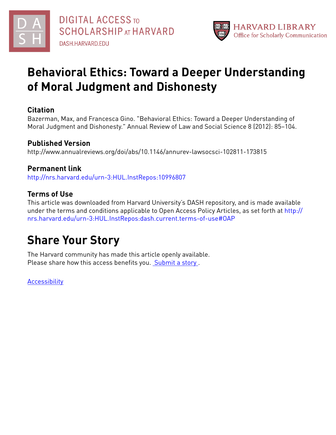



# **Behavioral Ethics: Toward a Deeper Understanding of Moral Judgment and Dishonesty**

## **Citation**

Bazerman, Max, and Francesca Gino. "Behavioral Ethics: Toward a Deeper Understanding of Moral Judgment and Dishonesty." Annual Review of Law and Social Science 8 (2012): 85–104.

# **Published Version**

http://www.annualreviews.org/doi/abs/10.1146/annurev-lawsocsci-102811-173815

# **Permanent link**

<http://nrs.harvard.edu/urn-3:HUL.InstRepos:10996807>

# **Terms of Use**

This article was downloaded from Harvard University's DASH repository, and is made available under the terms and conditions applicable to Open Access Policy Articles, as set forth at [http://](http://nrs.harvard.edu/urn-3:HUL.InstRepos:dash.current.terms-of-use#OAP) [nrs.harvard.edu/urn-3:HUL.InstRepos:dash.current.terms-of-use#OAP](http://nrs.harvard.edu/urn-3:HUL.InstRepos:dash.current.terms-of-use#OAP)

# **Share Your Story**

The Harvard community has made this article openly available. Please share how this access benefits you. [Submit](http://osc.hul.harvard.edu/dash/open-access-feedback?handle=&title=Behavioral%20Ethics:%20Toward%20a%20Deeper%20Understanding%20of%20Moral%20Judgment%20and%20Dishonesty&community=1/3345929&collection=1/3345930&owningCollection1/3345930&harvardAuthors=3d03d9fda2852ee8433f4a690e390000&department) a story.

**[Accessibility](https://dash.harvard.edu/pages/accessibility)**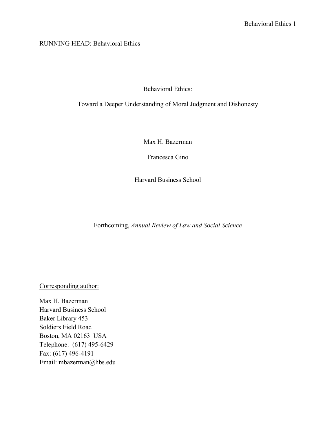RUNNING HEAD: Behavioral Ethics

Behavioral Ethics:

Toward a Deeper Understanding of Moral Judgment and Dishonesty

Max H. Bazerman

Francesca Gino

Harvard Business School

Forthcoming, *Annual Review of Law and Social Science*

Corresponding author:

Max H. Bazerman Harvard Business School Baker Library 453 Soldiers Field Road Boston, MA 02163 USA Telephone: (617) 495-6429 Fax: (617) 496-4191 Email: mbazerman@hbs.edu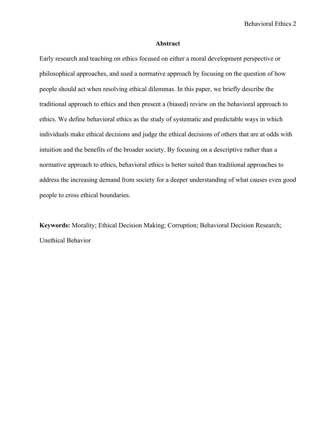## **Abstract**

Early research and teaching on ethics focused on either a moral development perspective or philosophical approaches, and used a normative approach by focusing on the question of how people should act when resolving ethical dilemmas. In this paper, we briefly describe the traditional approach to ethics and then present a (biased) review on the behavioral approach to ethics. We define behavioral ethics as the study of systematic and predictable ways in which individuals make ethical decisions and judge the ethical decisions of others that are at odds with intuition and the benefits of the broader society. By focusing on a descriptive rather than a normative approach to ethics, behavioral ethics is better suited than traditional approaches to address the increasing demand from society for a deeper understanding of what causes even good people to cross ethical boundaries.

**Keywords:** Morality; Ethical Decision Making; Corruption; Behavioral Decision Research; Unethical Behavior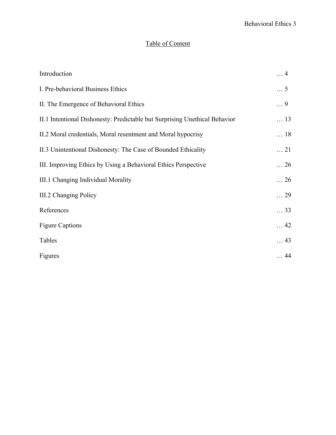## Table of Content

| Introduction                                                               | $\ldots$ 4  |
|----------------------------------------------------------------------------|-------------|
| I. Pre-behavioral Business Ethics                                          | $\ldots$ 5  |
| II. The Emergence of Behavioral Ethics                                     | $\ldots$ 9  |
| II.1 Intentional Dishonesty: Predictable but Surprising Unethical Behavior | $\ldots$ 13 |
| II.2 Moral credentials, Moral resentment and Moral hypocrisy               | $\ldots$ 18 |
| II.3 Unintentional Dishonesty: The Case of Bounded Ethicality              | $\ldots$ 21 |
| III. Improving Ethics by Using a Behavioral Ethics Perspective             | $\ldots$ 26 |
| III.1 Changing Individual Morality                                         | $\ldots$ 26 |
| III.2 Changing Policy                                                      | $\ldots$ 29 |
| References                                                                 | $\ldots$ 33 |
| <b>Figure Captions</b>                                                     | $\ldots$ 42 |
| Tables                                                                     | $\ldots$ 43 |
| Figures                                                                    | $\ldots$ 44 |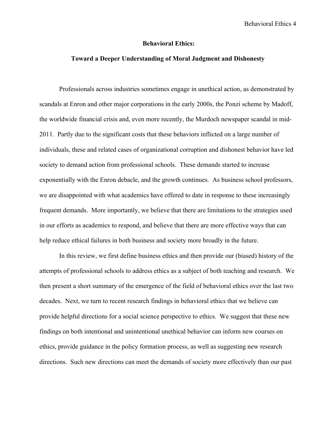### **Behavioral Ethics:**

## **Toward a Deeper Understanding of Moral Judgment and Dishonesty**

Professionals across industries sometimes engage in unethical action, as demonstrated by scandals at Enron and other major corporations in the early 2000s, the Ponzi scheme by Madoff, the worldwide financial crisis and, even more recently, the Murdoch newspaper scandal in mid-2011. Partly due to the significant costs that these behaviors inflicted on a large number of individuals, these and related cases of organizational corruption and dishonest behavior have led society to demand action from professional schools. These demands started to increase exponentially with the Enron debacle, and the growth continues. As business school professors, we are disappointed with what academics have offered to date in response to these increasingly frequent demands. More importantly, we believe that there are limitations to the strategies used in our efforts as academics to respond, and believe that there are more effective ways that can help reduce ethical failures in both business and society more broadly in the future.

In this review, we first define business ethics and then provide our (biased) history of the attempts of professional schools to address ethics as a subject of both teaching and research. We then present a short summary of the emergence of the field of behavioral ethics over the last two decades. Next, we turn to recent research findings in behavioral ethics that we believe can provide helpful directions for a social science perspective to ethics. We suggest that these new findings on both intentional and unintentional unethical behavior can inform new courses on ethics, provide guidance in the policy formation process, as well as suggesting new research directions. Such new directions can meet the demands of society more effectively than our past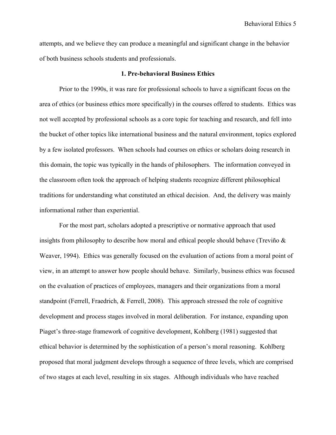attempts, and we believe they can produce a meaningful and significant change in the behavior of both business schools students and professionals.

#### **1. Pre-behavioral Business Ethics**

Prior to the 1990s, it was rare for professional schools to have a significant focus on the area of ethics (or business ethics more specifically) in the courses offered to students. Ethics was not well accepted by professional schools as a core topic for teaching and research, and fell into the bucket of other topics like international business and the natural environment, topics explored by a few isolated professors. When schools had courses on ethics or scholars doing research in this domain, the topic was typically in the hands of philosophers. The information conveyed in the classroom often took the approach of helping students recognize different philosophical traditions for understanding what constituted an ethical decision. And, the delivery was mainly informational rather than experiential.

For the most part, scholars adopted a prescriptive or normative approach that used insights from philosophy to describe how moral and ethical people should behave (Treviño  $\&$ Weaver, 1994). Ethics was generally focused on the evaluation of actions from a moral point of view, in an attempt to answer how people should behave. Similarly, business ethics was focused on the evaluation of practices of employees, managers and their organizations from a moral standpoint (Ferrell, Fraedrich, & Ferrell, 2008). This approach stressed the role of cognitive development and process stages involved in moral deliberation. For instance, expanding upon Piaget's three-stage framework of cognitive development, Kohlberg (1981) suggested that ethical behavior is determined by the sophistication of a person's moral reasoning. Kohlberg proposed that moral judgment develops through a sequence of three levels, which are comprised of two stages at each level, resulting in six stages. Although individuals who have reached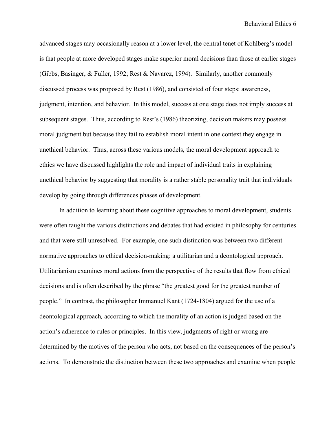advanced stages may occasionally reason at a lower level, the central tenet of Kohlberg's model is that people at more developed stages make superior moral decisions than those at earlier stages (Gibbs, Basinger, & Fuller, 1992; Rest & Navarez, 1994). Similarly, another commonly discussed process was proposed by Rest (1986), and consisted of four steps: awareness, judgment, intention, and behavior. In this model, success at one stage does not imply success at subsequent stages. Thus, according to Rest's (1986) theorizing, decision makers may possess moral judgment but because they fail to establish moral intent in one context they engage in unethical behavior. Thus, across these various models, the moral development approach to ethics we have discussed highlights the role and impact of individual traits in explaining unethical behavior by suggesting that morality is a rather stable personality trait that individuals develop by going through differences phases of development.

In addition to learning about these cognitive approaches to moral development, students were often taught the various distinctions and debates that had existed in philosophy for centuries and that were still unresolved. For example, one such distinction was between two different normative approaches to ethical decision-making: a utilitarian and a deontological approach. Utilitarianism examines moral actions from the perspective of the results that flow from ethical decisions and is often described by the phrase "the greatest good for the greatest number of people." In contrast, the philosopher Immanuel Kant (1724-1804) argued for the use of a deontological approach*,* according to which the morality of an action is judged based on the action's adherence to rules or principles. In this view, judgments of right or wrong are determined by the motives of the person who acts, not based on the consequences of the person's actions. To demonstrate the distinction between these two approaches and examine when people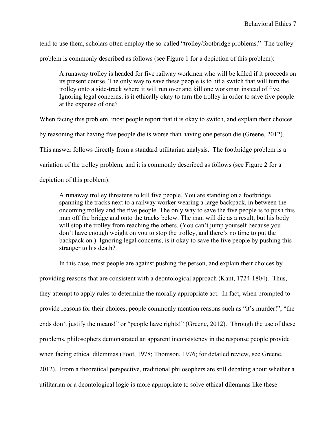tend to use them, scholars often employ the so-called "trolley/footbridge problems." The trolley problem is commonly described as follows (see Figure 1 for a depiction of this problem):

A runaway trolley is headed for five railway workmen who will be killed if it proceeds on its present course. The only way to save these people is to hit a switch that will turn the trolley onto a side-track where it will run over and kill one workman instead of five. Ignoring legal concerns, is it ethically okay to turn the trolley in order to save five people at the expense of one?

When facing this problem, most people report that it is okay to switch, and explain their choices

by reasoning that having five people die is worse than having one person die (Greene, 2012).

This answer follows directly from a standard utilitarian analysis. The footbridge problem is a

variation of the trolley problem, and it is commonly described as follows (see Figure 2 for a

depiction of this problem):

A runaway trolley threatens to kill five people. You are standing on a footbridge spanning the tracks next to a railway worker wearing a large backpack, in between the oncoming trolley and the five people. The only way to save the five people is to push this man off the bridge and onto the tracks below. The man will die as a result, but his body will stop the trolley from reaching the others. (You can't jump yourself because you don't have enough weight on you to stop the trolley, and there's no time to put the backpack on.) Ignoring legal concerns, is it okay to save the five people by pushing this stranger to his death?

In this case, most people are against pushing the person, and explain their choices by

providing reasons that are consistent with a deontological approach (Kant, 1724-1804). Thus, they attempt to apply rules to determine the morally appropriate act. In fact, when prompted to provide reasons for their choices, people commonly mention reasons such as "it's murder!", "the ends don't justify the means!" or "people have rights!" (Greene, 2012). Through the use of these problems, philosophers demonstrated an apparent inconsistency in the response people provide when facing ethical dilemmas (Foot, 1978; Thomson, 1976; for detailed review, see Greene, 2012). From a theoretical perspective, traditional philosophers are still debating about whether a utilitarian or a deontological logic is more appropriate to solve ethical dilemmas like these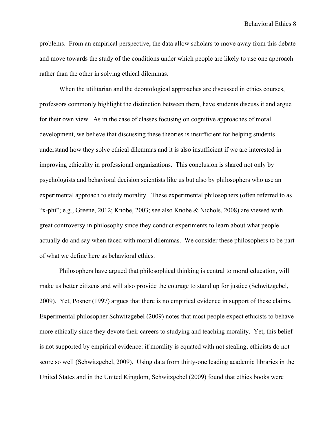problems. From an empirical perspective, the data allow scholars to move away from this debate and move towards the study of the conditions under which people are likely to use one approach rather than the other in solving ethical dilemmas.

When the utilitarian and the deontological approaches are discussed in ethics courses, professors commonly highlight the distinction between them, have students discuss it and argue for their own view. As in the case of classes focusing on cognitive approaches of moral development, we believe that discussing these theories is insufficient for helping students understand how they solve ethical dilemmas and it is also insufficient if we are interested in improving ethicality in professional organizations. This conclusion is shared not only by psychologists and behavioral decision scientists like us but also by philosophers who use an experimental approach to study morality. These experimental philosophers (often referred to as "x-phi"; e.g., Greene, 2012; Knobe, 2003; see also Knobe & Nichols, 2008) are viewed with great controversy in philosophy since they conduct experiments to learn about what people actually do and say when faced with moral dilemmas. We consider these philosophers to be part of what we define here as behavioral ethics.

Philosophers have argued that philosophical thinking is central to moral education, will make us better citizens and will also provide the courage to stand up for justice (Schwitzgebel, 2009). Yet, Posner (1997) argues that there is no empirical evidence in support of these claims. Experimental philosopher Schwitzgebel (2009) notes that most people expect ethicists to behave more ethically since they devote their careers to studying and teaching morality. Yet, this belief is not supported by empirical evidence: if morality is equated with not stealing, ethicists do not score so well (Schwitzgebel, 2009). Using data from thirty-one leading academic libraries in the United States and in the United Kingdom, Schwitzgebel (2009) found that ethics books were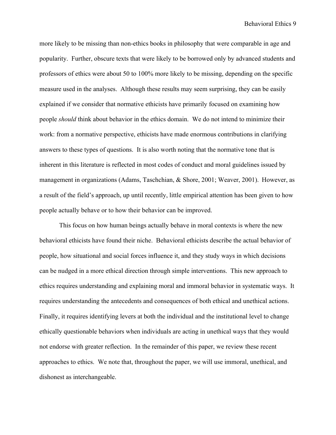more likely to be missing than non-ethics books in philosophy that were comparable in age and popularity. Further, obscure texts that were likely to be borrowed only by advanced students and professors of ethics were about 50 to 100% more likely to be missing, depending on the specific measure used in the analyses. Although these results may seem surprising, they can be easily explained if we consider that normative ethicists have primarily focused on examining how people *should* think about behavior in the ethics domain. We do not intend to minimize their work: from a normative perspective, ethicists have made enormous contributions in clarifying answers to these types of questions. It is also worth noting that the normative tone that is inherent in this literature is reflected in most codes of conduct and moral guidelines issued by management in organizations (Adams, Taschchian, & Shore, 2001; Weaver, 2001). However, as a result of the field's approach, up until recently, little empirical attention has been given to how people actually behave or to how their behavior can be improved.

This focus on how human beings actually behave in moral contexts is where the new behavioral ethicists have found their niche. Behavioral ethicists describe the actual behavior of people, how situational and social forces influence it, and they study ways in which decisions can be nudged in a more ethical direction through simple interventions. This new approach to ethics requires understanding and explaining moral and immoral behavior in systematic ways. It requires understanding the antecedents and consequences of both ethical and unethical actions. Finally, it requires identifying levers at both the individual and the institutional level to change ethically questionable behaviors when individuals are acting in unethical ways that they would not endorse with greater reflection. In the remainder of this paper, we review these recent approaches to ethics. We note that, throughout the paper, we will use immoral, unethical, and dishonest as interchangeable.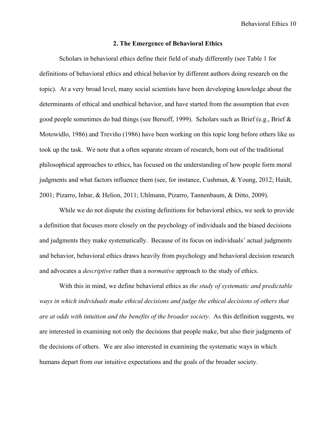#### **2. The Emergence of Behavioral Ethics**

Scholars in behavioral ethics define their field of study differently (see Table 1 for definitions of behavioral ethics and ethical behavior by different authors doing research on the topic). At a very broad level, many social scientists have been developing knowledge about the determinants of ethical and unethical behavior, and have started from the assumption that even good people sometimes do bad things (see Bersoff, 1999). Scholars such as Brief (e.g., Brief & Motowidlo, 1986) and Treviño (1986) have been working on this topic long before others like us took up the task. We note that a often separate stream of research, born out of the traditional philosophical approaches to ethics, has focused on the understanding of how people form moral judgments and what factors influence them (see, for instance, Cushman, & Young, 2012; Haidt, 2001; Pizarro, Inbar, & Helion, 2011; Uhlmann, Pizarro, Tannenbaum, & Ditto, 2009).

While we do not dispute the existing definitions for behavioral ethics, we seek to provide a definition that focuses more closely on the psychology of individuals and the biased decisions and judgments they make systematically. Because of its focus on individuals' actual judgments and behavior, behavioral ethics draws heavily from psychology and behavioral decision research and advocates a *descriptive* rather than a *normative* approach to the study of ethics.

With this in mind, we define behavioral ethics as *the study of systematic and predictable ways in which individuals make ethical decisions and judge the ethical decisions of others that are at odds with intuition and the benefits of the broader society*. As this definition suggests, we are interested in examining not only the decisions that people make, but also their judgments of the decisions of others. We are also interested in examining the systematic ways in which humans depart from our intuitive expectations and the goals of the broader society.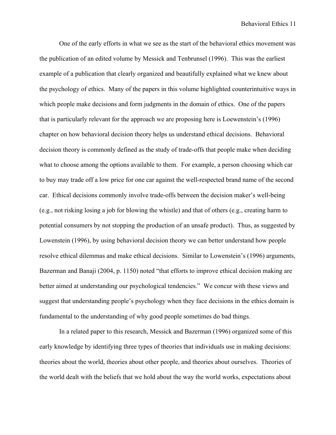One of the early efforts in what we see as the start of the behavioral ethics movement was the publication of an edited volume by Messick and Tenbrunsel (1996). This was the earliest example of a publication that clearly organized and beautifully explained what we knew about the psychology of ethics. Many of the papers in this volume highlighted counterintuitive ways in which people make decisions and form judgments in the domain of ethics. One of the papers that is particularly relevant for the approach we are proposing here is Loewenstein's (1996) chapter on how behavioral decision theory helps us understand ethical decisions. Behavioral decision theory is commonly defined as the study of trade-offs that people make when deciding what to choose among the options available to them. For example, a person choosing which car to buy may trade off a low price for one car against the well-respected brand name of the second car. Ethical decisions commonly involve trade-offs between the decision maker's well-being (e.g., not risking losing a job for blowing the whistle) and that of others (e.g., creating harm to potential consumers by not stopping the production of an unsafe product). Thus, as suggested by Lowenstein (1996), by using behavioral decision theory we can better understand how people resolve ethical dilemmas and make ethical decisions. Similar to Lowenstein's (1996) arguments, Bazerman and Banaji (2004, p. 1150) noted "that efforts to improve ethical decision making are better aimed at understanding our psychological tendencies." We concur with these views and suggest that understanding people's psychology when they face decisions in the ethics domain is fundamental to the understanding of why good people sometimes do bad things.

In a related paper to this research, Messick and Bazerman (1996) organized some of this early knowledge by identifying three types of theories that individuals use in making decisions: theories about the world, theories about other people, and theories about ourselves. Theories of the world dealt with the beliefs that we hold about the way the world works, expectations about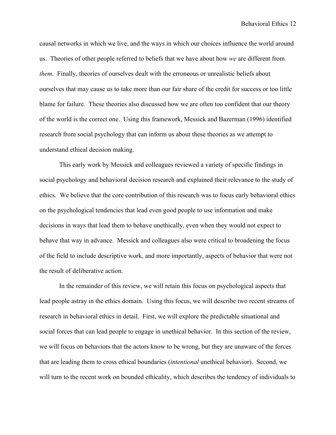causal networks in which we live, and the ways in which our choices influence the world around us. Theories of other people referred to beliefs that we have about how *we* are different from *them*. Finally, theories of ourselves dealt with the erroneous or unrealistic beliefs about ourselves that may cause us to take more than our fair share of the credit for success or too little blame for failure. These theories also discussed how we are often too confident that our theory of the world is the correct one. Using this framework, Messick and Bazerman (1996) identified research from social psychology that can inform us about these theories as we attempt to understand ethical decision making.

This early work by Messick and colleagues reviewed a variety of specific findings in social psychology and behavioral decision research and explained their relevance to the study of ethics. We believe that the core contribution of this research was to focus early behavioral ethics on the psychological tendencies that lead even good people to use information and make decisions in ways that lead them to behave unethically, even when they would not expect to behave that way in advance. Messick and colleagues also were critical to broadening the focus of the field to include descriptive work, and more importantly, aspects of behavior that were not the result of deliberative action.

In the remainder of this review, we will retain this focus on psychological aspects that lead people astray in the ethics domain. Using this focus, we will describe two recent streams of research in behavioral ethics in detail. First, we will explore the predictable situational and social forces that can lead people to engage in unethical behavior. In this section of the review, we will focus on behaviors that the actors know to be wrong, but they are unaware of the forces that are leading them to cross ethical boundaries (*intentional* unethical behavior). Second, we will turn to the recent work on bounded ethicality, which describes the tendency of individuals to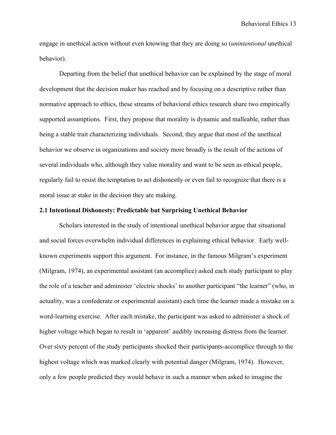engage in unethical action without even knowing that they are doing so (*unintentional* unethical behavior).

Departing from the belief that unethical behavior can be explained by the stage of moral development that the decision maker has reached and by focusing on a descriptive rather than normative approach to ethics, these streams of behavioral ethics research share two empirically supported assumptions. First, they propose that morality is dynamic and malleable, rather than being a stable trait characterizing individuals. Second, they argue that most of the unethical behavior we observe in organizations and society more broadly is the result of the actions of several individuals who, although they value morality and want to be seen as ethical people, regularly fail to resist the temptation to act dishonestly or even fail to recognize that there is a moral issue at stake in the decision they are making.

## **2.1 Intentional Dishonesty: Predictable but Surprising Unethical Behavior**

Scholars interested in the study of intentional unethical behavior argue that situational and social forces overwhelm individual differences in explaining ethical behavior. Early wellknown experiments support this argument. For instance, in the famous Milgram's experiment (Milgram, 1974), an experimental assistant (an accomplice) asked each study participant to play the role of a teacher and administer 'electric shocks' to another participant "the learner" (who, in actuality, was a confederate or experimental assistant) each time the learner made a mistake on a word-learning exercise. After each mistake, the participant was asked to administer a shock of higher voltage which began to result in 'apparent' audibly increasing distress from the learner. Over sixty percent of the study participants shocked their participants-accomplice through to the highest voltage which was marked clearly with potential danger (Milgram, 1974). However, only a few people predicted they would behave in such a manner when asked to imagine the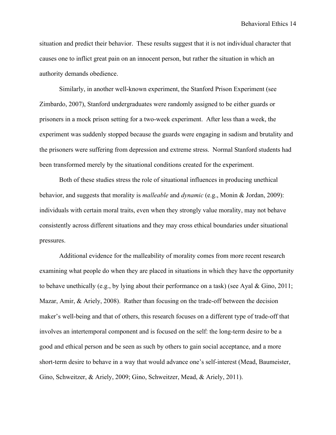situation and predict their behavior. These results suggest that it is not individual character that causes one to inflict great pain on an innocent person, but rather the situation in which an authority demands obedience.

Similarly, in another well-known experiment, the Stanford Prison Experiment (see Zimbardo, 2007), Stanford undergraduates were randomly assigned to be either guards or prisoners in a mock prison setting for a two-week experiment. After less than a week, the experiment was suddenly stopped because the guards were engaging in sadism and brutality and the prisoners were suffering from depression and extreme stress. Normal Stanford students had been transformed merely by the situational conditions created for the experiment.

Both of these studies stress the role of situational influences in producing unethical behavior, and suggests that morality is *malleable* and *dynamic* (e.g., Monin & Jordan, 2009): individuals with certain moral traits, even when they strongly value morality, may not behave consistently across different situations and they may cross ethical boundaries under situational pressures.

Additional evidence for the malleability of morality comes from more recent research examining what people do when they are placed in situations in which they have the opportunity to behave unethically (e.g., by lying about their performance on a task) (see Ayal & Gino, 2011; Mazar, Amir, & Ariely, 2008). Rather than focusing on the trade-off between the decision maker's well-being and that of others, this research focuses on a different type of trade-off that involves an intertemporal component and is focused on the self: the long-term desire to be a good and ethical person and be seen as such by others to gain social acceptance, and a more short-term desire to behave in a way that would advance one's self-interest (Mead, Baumeister, Gino, Schweitzer, & Ariely, 2009; Gino, Schweitzer, Mead, & Ariely, 2011).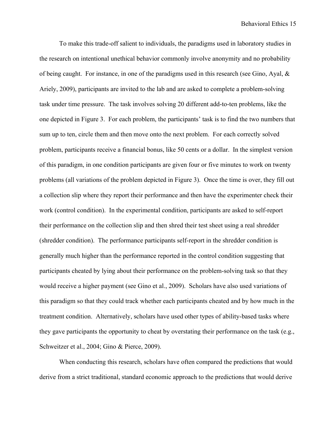To make this trade-off salient to individuals, the paradigms used in laboratory studies in the research on intentional unethical behavior commonly involve anonymity and no probability of being caught. For instance, in one of the paradigms used in this research (see Gino, Ayal,  $\&$ Ariely, 2009), participants are invited to the lab and are asked to complete a problem-solving task under time pressure. The task involves solving 20 different add-to-ten problems, like the one depicted in Figure 3. For each problem, the participants' task is to find the two numbers that sum up to ten, circle them and then move onto the next problem. For each correctly solved problem, participants receive a financial bonus, like 50 cents or a dollar. In the simplest version of this paradigm, in one condition participants are given four or five minutes to work on twenty problems (all variations of the problem depicted in Figure 3). Once the time is over, they fill out a collection slip where they report their performance and then have the experimenter check their work (control condition). In the experimental condition, participants are asked to self-report their performance on the collection slip and then shred their test sheet using a real shredder (shredder condition). The performance participants self-report in the shredder condition is generally much higher than the performance reported in the control condition suggesting that participants cheated by lying about their performance on the problem-solving task so that they would receive a higher payment (see Gino et al., 2009). Scholars have also used variations of this paradigm so that they could track whether each participants cheated and by how much in the treatment condition. Alternatively, scholars have used other types of ability-based tasks where they gave participants the opportunity to cheat by overstating their performance on the task (e.g., Schweitzer et al., 2004; Gino & Pierce, 2009).

When conducting this research, scholars have often compared the predictions that would derive from a strict traditional, standard economic approach to the predictions that would derive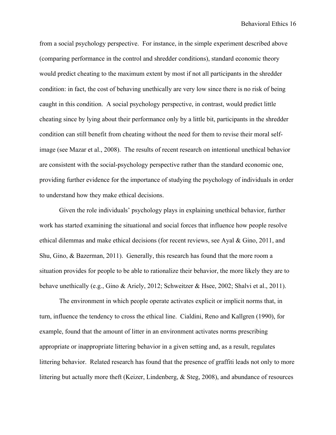from a social psychology perspective. For instance, in the simple experiment described above (comparing performance in the control and shredder conditions), standard economic theory would predict cheating to the maximum extent by most if not all participants in the shredder condition: in fact, the cost of behaving unethically are very low since there is no risk of being caught in this condition. A social psychology perspective, in contrast, would predict little cheating since by lying about their performance only by a little bit, participants in the shredder condition can still benefit from cheating without the need for them to revise their moral selfimage (see Mazar et al., 2008). The results of recent research on intentional unethical behavior are consistent with the social-psychology perspective rather than the standard economic one, providing further evidence for the importance of studying the psychology of individuals in order to understand how they make ethical decisions.

Given the role individuals' psychology plays in explaining unethical behavior, further work has started examining the situational and social forces that influence how people resolve ethical dilemmas and make ethical decisions (for recent reviews, see Ayal & Gino, 2011, and Shu, Gino, & Bazerman, 2011). Generally, this research has found that the more room a situation provides for people to be able to rationalize their behavior, the more likely they are to behave unethically (e.g., Gino & Ariely, 2012; Schweitzer & Hsee, 2002; Shalvi et al., 2011).

The environment in which people operate activates explicit or implicit norms that, in turn, influence the tendency to cross the ethical line. Cialdini, Reno and Kallgren (1990), for example, found that the amount of litter in an environment activates norms prescribing appropriate or inappropriate littering behavior in a given setting and, as a result, regulates littering behavior. Related research has found that the presence of graffiti leads not only to more littering but actually more theft (Keizer, Lindenberg, & Steg, 2008), and abundance of resources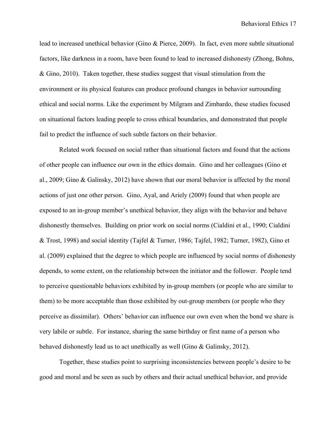lead to increased unethical behavior (Gino & Pierce, 2009). In fact, even more subtle situational factors, like darkness in a room, have been found to lead to increased dishonesty (Zhong, Bohns, & Gino, 2010). Taken together, these studies suggest that visual stimulation from the environment or its physical features can produce profound changes in behavior surrounding ethical and social norms. Like the experiment by Milgram and Zimbardo, these studies focused on situational factors leading people to cross ethical boundaries, and demonstrated that people fail to predict the influence of such subtle factors on their behavior.

Related work focused on social rather than situational factors and found that the actions of other people can influence our own in the ethics domain. Gino and her colleagues (Gino et al., 2009; Gino & Galinsky, 2012) have shown that our moral behavior is affected by the moral actions of just one other person. Gino, Ayal, and Ariely (2009) found that when people are exposed to an in-group member's unethical behavior, they align with the behavior and behave dishonestly themselves. Building on prior work on social norms (Cialdini et al., 1990; Cialdini & Trost, 1998) and social identity (Tajfel & Turner, 1986; Tajfel, 1982; Turner, 1982), Gino et al. (2009) explained that the degree to which people are influenced by social norms of dishonesty depends, to some extent, on the relationship between the initiator and the follower. People tend to perceive questionable behaviors exhibited by in-group members (or people who are similar to them) to be more acceptable than those exhibited by out-group members (or people who they perceive as dissimilar). Others' behavior can influence our own even when the bond we share is very labile or subtle. For instance, sharing the same birthday or first name of a person who behaved dishonestly lead us to act unethically as well (Gino & Galinsky, 2012).

Together, these studies point to surprising inconsistencies between people's desire to be good and moral and be seen as such by others and their actual unethical behavior, and provide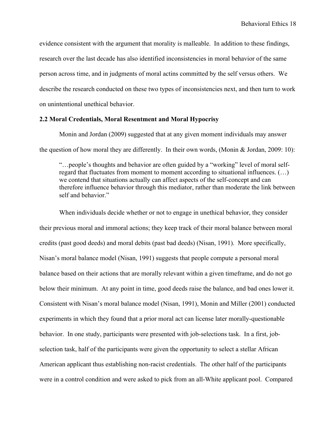evidence consistent with the argument that morality is malleable. In addition to these findings, research over the last decade has also identified inconsistencies in moral behavior of the same person across time, and in judgments of moral actins committed by the self versus others. We describe the research conducted on these two types of inconsistencies next, and then turn to work on unintentional unethical behavior.

## **2.2 Moral Credentials, Moral Resentment and Moral Hypocrisy**

Monin and Jordan (2009) suggested that at any given moment individuals may answer the question of how moral they are differently. In their own words, (Monin & Jordan, 2009: 10):

"…people's thoughts and behavior are often guided by a "working" level of moral selfregard that fluctuates from moment to moment according to situational influences. (…) we contend that situations actually can affect aspects of the self-concept and can therefore influence behavior through this mediator, rather than moderate the link between self and behavior."

When individuals decide whether or not to engage in unethical behavior, they consider their previous moral and immoral actions; they keep track of their moral balance between moral credits (past good deeds) and moral debits (past bad deeds) (Nisan, 1991). More specifically, Nisan's moral balance model (Nisan, 1991) suggests that people compute a personal moral balance based on their actions that are morally relevant within a given timeframe, and do not go below their minimum. At any point in time, good deeds raise the balance, and bad ones lower it. Consistent with Nisan's moral balance model (Nisan, 1991), Monin and Miller (2001) conducted experiments in which they found that a prior moral act can license later morally-questionable behavior. In one study, participants were presented with job-selections task. In a first, jobselection task, half of the participants were given the opportunity to select a stellar African American applicant thus establishing non-racist credentials. The other half of the participants were in a control condition and were asked to pick from an all-White applicant pool. Compared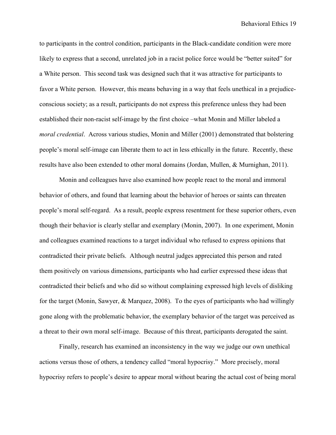to participants in the control condition, participants in the Black-candidate condition were more likely to express that a second, unrelated job in a racist police force would be "better suited" for a White person. This second task was designed such that it was attractive for participants to favor a White person. However, this means behaving in a way that feels unethical in a prejudiceconscious society; as a result, participants do not express this preference unless they had been established their non-racist self-image by the first choice –what Monin and Miller labeled a *moral credential*. Across various studies, Monin and Miller (2001) demonstrated that bolstering people's moral self-image can liberate them to act in less ethically in the future. Recently, these results have also been extended to other moral domains (Jordan, Mullen, & Murnighan, 2011).

Monin and colleagues have also examined how people react to the moral and immoral behavior of others, and found that learning about the behavior of heroes or saints can threaten people's moral self-regard. As a result, people express resentment for these superior others, even though their behavior is clearly stellar and exemplary (Monin, 2007). In one experiment, Monin and colleagues examined reactions to a target individual who refused to express opinions that contradicted their private beliefs. Although neutral judges appreciated this person and rated them positively on various dimensions, participants who had earlier expressed these ideas that contradicted their beliefs and who did so without complaining expressed high levels of disliking for the target (Monin, Sawyer, & Marquez, 2008). To the eyes of participants who had willingly gone along with the problematic behavior, the exemplary behavior of the target was perceived as a threat to their own moral self-image. Because of this threat, participants derogated the saint.

Finally, research has examined an inconsistency in the way we judge our own unethical actions versus those of others, a tendency called "moral hypocrisy." More precisely, moral hypocrisy refers to people's desire to appear moral without bearing the actual cost of being moral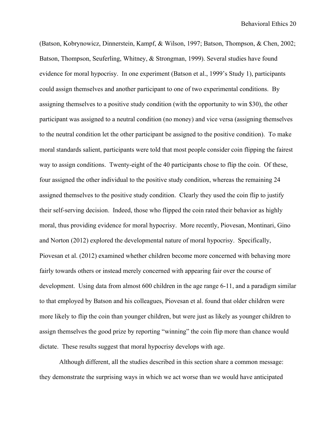(Batson, Kobrynowicz, Dinnerstein, Kampf, & Wilson, 1997; Batson, Thompson, & Chen, 2002; Batson, Thompson, Seuferling, Whitney, & Strongman, 1999). Several studies have found evidence for moral hypocrisy. In one experiment (Batson et al., 1999's Study 1), participants could assign themselves and another participant to one of two experimental conditions. By assigning themselves to a positive study condition (with the opportunity to win \$30), the other participant was assigned to a neutral condition (no money) and vice versa (assigning themselves to the neutral condition let the other participant be assigned to the positive condition). To make moral standards salient, participants were told that most people consider coin flipping the fairest way to assign conditions. Twenty-eight of the 40 participants chose to flip the coin. Of these, four assigned the other individual to the positive study condition, whereas the remaining 24 assigned themselves to the positive study condition. Clearly they used the coin flip to justify their self-serving decision. Indeed, those who flipped the coin rated their behavior as highly moral, thus providing evidence for moral hypocrisy. More recently, Piovesan, Montinari, Gino and Norton (2012) explored the developmental nature of moral hypocrisy. Specifically, Piovesan et al. (2012) examined whether children become more concerned with behaving more fairly towards others or instead merely concerned with appearing fair over the course of development. Using data from almost 600 children in the age range 6-11, and a paradigm similar to that employed by Batson and his colleagues, Piovesan et al. found that older children were more likely to flip the coin than younger children, but were just as likely as younger children to assign themselves the good prize by reporting "winning" the coin flip more than chance would dictate. These results suggest that moral hypocrisy develops with age.

Although different, all the studies described in this section share a common message: they demonstrate the surprising ways in which we act worse than we would have anticipated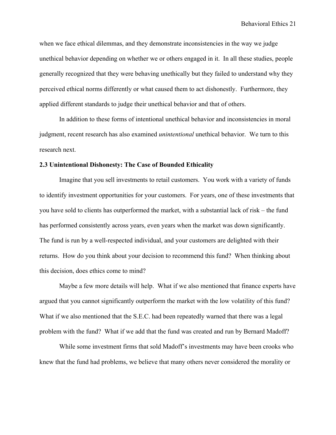when we face ethical dilemmas, and they demonstrate inconsistencies in the way we judge unethical behavior depending on whether we or others engaged in it. In all these studies, people generally recognized that they were behaving unethically but they failed to understand why they perceived ethical norms differently or what caused them to act dishonestly. Furthermore, they applied different standards to judge their unethical behavior and that of others.

In addition to these forms of intentional unethical behavior and inconsistencies in moral judgment, recent research has also examined *unintentional* unethical behavior. We turn to this research next.

#### **2.3 Unintentional Dishonesty: The Case of Bounded Ethicality**

Imagine that you sell investments to retail customers. You work with a variety of funds to identify investment opportunities for your customers. For years, one of these investments that you have sold to clients has outperformed the market, with a substantial lack of risk – the fund has performed consistently across years, even years when the market was down significantly. The fund is run by a well-respected individual, and your customers are delighted with their returns. How do you think about your decision to recommend this fund? When thinking about this decision, does ethics come to mind?

Maybe a few more details will help. What if we also mentioned that finance experts have argued that you cannot significantly outperform the market with the low volatility of this fund? What if we also mentioned that the S.E.C. had been repeatedly warned that there was a legal problem with the fund? What if we add that the fund was created and run by Bernard Madoff?

While some investment firms that sold Madoff's investments may have been crooks who knew that the fund had problems, we believe that many others never considered the morality or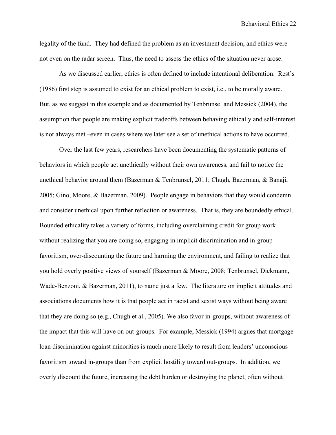legality of the fund. They had defined the problem as an investment decision, and ethics were not even on the radar screen. Thus, the need to assess the ethics of the situation never arose.

As we discussed earlier, ethics is often defined to include intentional deliberation. Rest's (1986) first step is assumed to exist for an ethical problem to exist, i.e., to be morally aware. But, as we suggest in this example and as documented by Tenbrunsel and Messick (2004), the assumption that people are making explicit tradeoffs between behaving ethically and self-interest is not always met –even in cases where we later see a set of unethical actions to have occurred.

Over the last few years, researchers have been documenting the systematic patterns of behaviors in which people act unethically without their own awareness, and fail to notice the unethical behavior around them (Bazerman & Tenbrunsel, 2011; Chugh, Bazerman, & Banaji, 2005; Gino, Moore, & Bazerman, 2009). People engage in behaviors that they would condemn and consider unethical upon further reflection or awareness. That is, they are boundedly ethical. Bounded ethicality takes a variety of forms, including overclaiming credit for group work without realizing that you are doing so, engaging in implicit discrimination and in-group favoritism, over-discounting the future and harming the environment, and failing to realize that you hold overly positive views of yourself (Bazerman & Moore, 2008; Tenbrunsel, Diekmann, Wade-Benzoni, & Bazerman, 2011), to name just a few. The literature on implicit attitudes and associations documents how it is that people act in racist and sexist ways without being aware that they are doing so (e.g., Chugh et al., 2005). We also favor in-groups, without awareness of the impact that this will have on out-groups. For example, Messick (1994) argues that mortgage loan discrimination against minorities is much more likely to result from lenders' unconscious favoritism toward in-groups than from explicit hostility toward out-groups. In addition, we overly discount the future, increasing the debt burden or destroying the planet, often without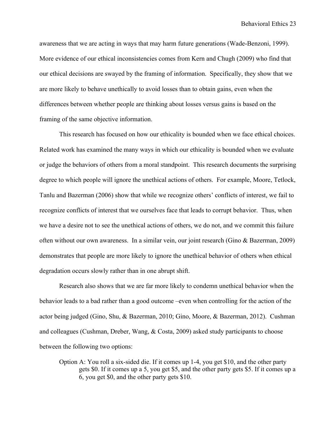awareness that we are acting in ways that may harm future generations (Wade-Benzoni, 1999). More evidence of our ethical inconsistencies comes from Kern and Chugh (2009) who find that our ethical decisions are swayed by the framing of information. Specifically, they show that we are more likely to behave unethically to avoid losses than to obtain gains, even when the differences between whether people are thinking about losses versus gains is based on the framing of the same objective information.

This research has focused on how our ethicality is bounded when we face ethical choices. Related work has examined the many ways in which our ethicality is bounded when we evaluate or judge the behaviors of others from a moral standpoint. This research documents the surprising degree to which people will ignore the unethical actions of others. For example, Moore, Tetlock, Tanlu and Bazerman (2006) show that while we recognize others' conflicts of interest, we fail to recognize conflicts of interest that we ourselves face that leads to corrupt behavior. Thus, when we have a desire not to see the unethical actions of others, we do not, and we commit this failure often without our own awareness. In a similar vein, our joint research (Gino & Bazerman, 2009) demonstrates that people are more likely to ignore the unethical behavior of others when ethical degradation occurs slowly rather than in one abrupt shift.

Research also shows that we are far more likely to condemn unethical behavior when the behavior leads to a bad rather than a good outcome –even when controlling for the action of the actor being judged (Gino, Shu, & Bazerman, 2010; Gino, Moore, & Bazerman, 2012). Cushman and colleagues (Cushman, Dreber, Wang, & Costa, 2009) asked study participants to choose between the following two options:

Option A: You roll a six-sided die. If it comes up 1-4, you get \$10, and the other party gets \$0. If it comes up a 5, you get \$5, and the other party gets \$5. If it comes up a 6, you get \$0, and the other party gets \$10.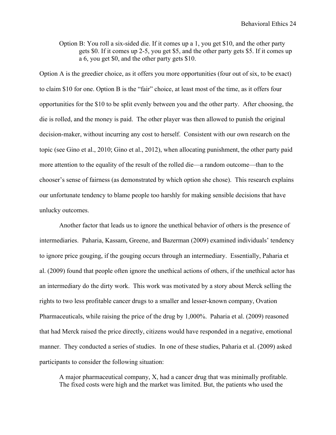Option B: You roll a six-sided die. If it comes up a 1, you get \$10, and the other party gets \$0. If it comes up 2-5, you get \$5, and the other party gets \$5. If it comes up a 6, you get \$0, and the other party gets \$10.

Option A is the greedier choice, as it offers you more opportunities (four out of six, to be exact) to claim \$10 for one. Option B is the "fair" choice, at least most of the time, as it offers four opportunities for the \$10 to be split evenly between you and the other party. After choosing, the die is rolled, and the money is paid. The other player was then allowed to punish the original decision-maker, without incurring any cost to herself. Consistent with our own research on the topic (see Gino et al., 2010; Gino et al., 2012), when allocating punishment, the other party paid more attention to the equality of the result of the rolled die—a random outcome—than to the chooser's sense of fairness (as demonstrated by which option she chose). This research explains our unfortunate tendency to blame people too harshly for making sensible decisions that have unlucky outcomes.

Another factor that leads us to ignore the unethical behavior of others is the presence of intermediaries. Paharia, Kassam, Greene, and Bazerman (2009) examined individuals' tendency to ignore price gouging, if the gouging occurs through an intermediary. Essentially, Paharia et al. (2009) found that people often ignore the unethical actions of others, if the unethical actor has an intermediary do the dirty work. This work was motivated by a story about Merck selling the rights to two less profitable cancer drugs to a smaller and lesser-known company, Ovation Pharmaceuticals, while raising the price of the drug by 1,000%. Paharia et al. (2009) reasoned that had Merck raised the price directly, citizens would have responded in a negative, emotional manner. They conducted a series of studies. In one of these studies, Paharia et al. (2009) asked participants to consider the following situation:

A major pharmaceutical company, X, had a cancer drug that was minimally profitable. The fixed costs were high and the market was limited. But, the patients who used the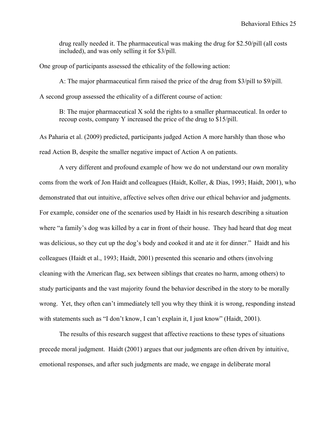drug really needed it. The pharmaceutical was making the drug for \$2.50/pill (all costs included), and was only selling it for \$3/pill.

One group of participants assessed the ethicality of the following action:

A: The major pharmaceutical firm raised the price of the drug from \$3/pill to \$9/pill. A second group assessed the ethicality of a different course of action:

B: The major pharmaceutical X sold the rights to a smaller pharmaceutical. In order to recoup costs, company Y increased the price of the drug to \$15/pill.

As Paharia et al. (2009) predicted, participants judged Action A more harshly than those who read Action B, despite the smaller negative impact of Action A on patients.

A very different and profound example of how we do not understand our own morality coms from the work of Jon Haidt and colleagues (Haidt, Koller, & Dias, 1993; Haidt, 2001), who demonstrated that out intuitive, affective selves often drive our ethical behavior and judgments. For example, consider one of the scenarios used by Haidt in his research describing a situation where "a family's dog was killed by a car in front of their house. They had heard that dog meat was delicious, so they cut up the dog's body and cooked it and ate it for dinner." Haidt and his colleagues (Haidt et al., 1993; Haidt, 2001) presented this scenario and others (involving cleaning with the American flag, sex between siblings that creates no harm, among others) to study participants and the vast majority found the behavior described in the story to be morally wrong. Yet, they often can't immediately tell you why they think it is wrong, responding instead with statements such as "I don't know, I can't explain it, I just know" (Haidt, 2001).

The results of this research suggest that affective reactions to these types of situations precede moral judgment. Haidt (2001) argues that our judgments are often driven by intuitive, emotional responses, and after such judgments are made, we engage in deliberate moral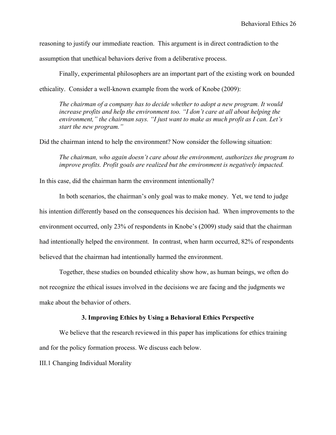reasoning to justify our immediate reaction. This argument is in direct contradiction to the

assumption that unethical behaviors derive from a deliberative process.

Finally, experimental philosophers are an important part of the existing work on bounded ethicality. Consider a well-known example from the work of Knobe (2009):

*The chairman of a company has to decide whether to adopt a new program. It would increase profits and help the environment too. "I don't care at all about helping the environment," the chairman says. "I just want to make as much profit as I can. Let's start the new program."* 

Did the chairman intend to help the environment? Now consider the following situation:

*The chairman, who again doesn't care about the environment, authorizes the program to improve profits. Profit goals are realized but the environment is negatively impacted.*

In this case, did the chairman harm the environment intentionally?

In both scenarios, the chairman's only goal was to make money. Yet, we tend to judge his intention differently based on the consequences his decision had. When improvements to the environment occurred, only 23% of respondents in Knobe's (2009) study said that the chairman had intentionally helped the environment. In contrast, when harm occurred, 82% of respondents believed that the chairman had intentionally harmed the environment.

Together, these studies on bounded ethicality show how, as human beings, we often do not recognize the ethical issues involved in the decisions we are facing and the judgments we make about the behavior of others.

## **3. Improving Ethics by Using a Behavioral Ethics Perspective**

We believe that the research reviewed in this paper has implications for ethics training and for the policy formation process. We discuss each below.

III.1 Changing Individual Morality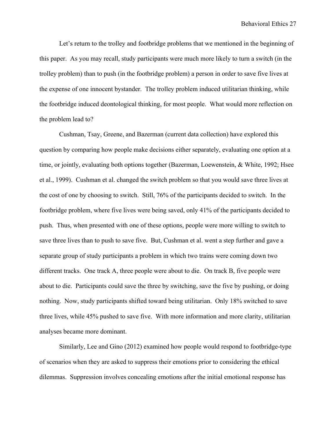Let's return to the trolley and footbridge problems that we mentioned in the beginning of this paper. As you may recall, study participants were much more likely to turn a switch (in the trolley problem) than to push (in the footbridge problem) a person in order to save five lives at the expense of one innocent bystander. The trolley problem induced utilitarian thinking, while the footbridge induced deontological thinking, for most people. What would more reflection on the problem lead to?

Cushman, Tsay, Greene, and Bazerman (current data collection) have explored this question by comparing how people make decisions either separately, evaluating one option at a time, or jointly, evaluating both options together (Bazerman, Loewenstein, & White, 1992; Hsee et al., 1999). Cushman et al. changed the switch problem so that you would save three lives at the cost of one by choosing to switch. Still, 76% of the participants decided to switch. In the footbridge problem, where five lives were being saved, only 41% of the participants decided to push. Thus, when presented with one of these options, people were more willing to switch to save three lives than to push to save five. But, Cushman et al. went a step further and gave a separate group of study participants a problem in which two trains were coming down two different tracks. One track A, three people were about to die. On track B, five people were about to die. Participants could save the three by switching, save the five by pushing, or doing nothing. Now, study participants shifted toward being utilitarian. Only 18% switched to save three lives, while 45% pushed to save five. With more information and more clarity, utilitarian analyses became more dominant.

Similarly, Lee and Gino (2012) examined how people would respond to footbridge-type of scenarios when they are asked to suppress their emotions prior to considering the ethical dilemmas. Suppression involves concealing emotions after the initial emotional response has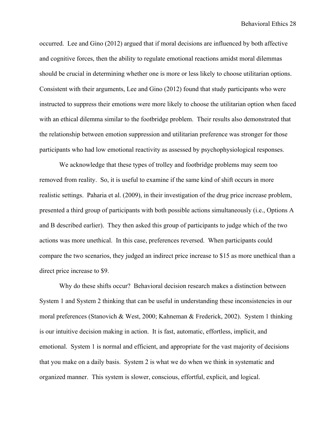occurred. Lee and Gino (2012) argued that if moral decisions are influenced by both affective and cognitive forces, then the ability to regulate emotional reactions amidst moral dilemmas should be crucial in determining whether one is more or less likely to choose utilitarian options. Consistent with their arguments, Lee and Gino (2012) found that study participants who were instructed to suppress their emotions were more likely to choose the utilitarian option when faced with an ethical dilemma similar to the footbridge problem. Their results also demonstrated that the relationship between emotion suppression and utilitarian preference was stronger for those participants who had low emotional reactivity as assessed by psychophysiological responses.

We acknowledge that these types of trolley and footbridge problems may seem too removed from reality. So, it is useful to examine if the same kind of shift occurs in more realistic settings. Paharia et al. (2009), in their investigation of the drug price increase problem, presented a third group of participants with both possible actions simultaneously (i.e., Options A and B described earlier). They then asked this group of participants to judge which of the two actions was more unethical. In this case, preferences reversed. When participants could compare the two scenarios, they judged an indirect price increase to \$15 as more unethical than a direct price increase to \$9.

Why do these shifts occur? Behavioral decision research makes a distinction between System 1 and System 2 thinking that can be useful in understanding these inconsistencies in our moral preferences (Stanovich & West, 2000; Kahneman & Frederick, 2002). System 1 thinking is our intuitive decision making in action. It is fast, automatic, effortless, implicit, and emotional. System 1 is normal and efficient, and appropriate for the vast majority of decisions that you make on a daily basis. System 2 is what we do when we think in systematic and organized manner. This system is slower, conscious, effortful, explicit, and logical.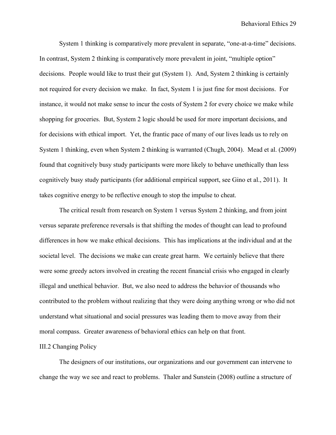System 1 thinking is comparatively more prevalent in separate, "one-at-a-time" decisions. In contrast, System 2 thinking is comparatively more prevalent in joint, "multiple option" decisions. People would like to trust their gut (System 1). And, System 2 thinking is certainly not required for every decision we make. In fact, System 1 is just fine for most decisions. For instance, it would not make sense to incur the costs of System 2 for every choice we make while shopping for groceries. But, System 2 logic should be used for more important decisions, and for decisions with ethical import. Yet, the frantic pace of many of our lives leads us to rely on System 1 thinking, even when System 2 thinking is warranted (Chugh, 2004). Mead et al. (2009) found that cognitively busy study participants were more likely to behave unethically than less cognitively busy study participants (for additional empirical support, see Gino et al., 2011). It takes cognitive energy to be reflective enough to stop the impulse to cheat.

The critical result from research on System 1 versus System 2 thinking, and from joint versus separate preference reversals is that shifting the modes of thought can lead to profound differences in how we make ethical decisions. This has implications at the individual and at the societal level. The decisions we make can create great harm. We certainly believe that there were some greedy actors involved in creating the recent financial crisis who engaged in clearly illegal and unethical behavior. But, we also need to address the behavior of thousands who contributed to the problem without realizing that they were doing anything wrong or who did not understand what situational and social pressures was leading them to move away from their moral compass. Greater awareness of behavioral ethics can help on that front.

## III.2 Changing Policy

The designers of our institutions, our organizations and our government can intervene to change the way we see and react to problems. Thaler and Sunstein (2008) outline a structure of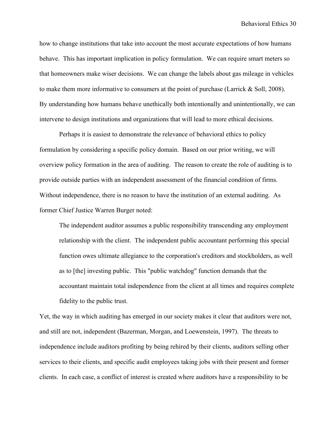how to change institutions that take into account the most accurate expectations of how humans behave. This has important implication in policy formulation. We can require smart meters so that homeowners make wiser decisions. We can change the labels about gas mileage in vehicles to make them more informative to consumers at the point of purchase (Larrick & Soll, 2008). By understanding how humans behave unethically both intentionally and unintentionally, we can intervene to design institutions and organizations that will lead to more ethical decisions.

Perhaps it is easiest to demonstrate the relevance of behavioral ethics to policy formulation by considering a specific policy domain. Based on our prior writing, we will overview policy formation in the area of auditing. The reason to create the role of auditing is to provide outside parties with an independent assessment of the financial condition of firms. Without independence, there is no reason to have the institution of an external auditing. As former Chief Justice Warren Burger noted:

The independent auditor assumes a public responsibility transcending any employment relationship with the client. The independent public accountant performing this special function owes ultimate allegiance to the corporation's creditors and stockholders, as well as to [the] investing public. This "public watchdog" function demands that the accountant maintain total independence from the client at all times and requires complete fidelity to the public trust.

Yet, the way in which auditing has emerged in our society makes it clear that auditors were not, and still are not, independent (Bazerman, Morgan, and Loewenstein, 1997). The threats to independence include auditors profiting by being rehired by their clients, auditors selling other services to their clients, and specific audit employees taking jobs with their present and former clients. In each case, a conflict of interest is created where auditors have a responsibility to be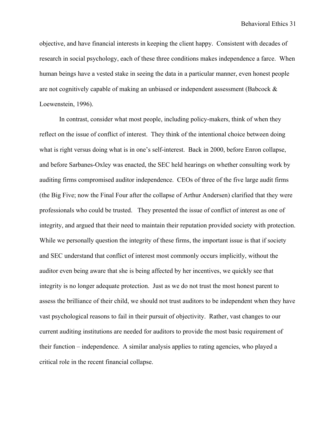objective, and have financial interests in keeping the client happy. Consistent with decades of research in social psychology, each of these three conditions makes independence a farce. When human beings have a vested stake in seeing the data in a particular manner, even honest people are not cognitively capable of making an unbiased or independent assessment (Babcock & Loewenstein, 1996).

In contrast, consider what most people, including policy-makers, think of when they reflect on the issue of conflict of interest. They think of the intentional choice between doing what is right versus doing what is in one's self-interest. Back in 2000, before Enron collapse, and before Sarbanes-Oxley was enacted, the SEC held hearings on whether consulting work by auditing firms compromised auditor independence. CEOs of three of the five large audit firms (the Big Five; now the Final Four after the collapse of Arthur Andersen) clarified that they were professionals who could be trusted. They presented the issue of conflict of interest as one of integrity, and argued that their need to maintain their reputation provided society with protection. While we personally question the integrity of these firms, the important issue is that if society and SEC understand that conflict of interest most commonly occurs implicitly, without the auditor even being aware that she is being affected by her incentives, we quickly see that integrity is no longer adequate protection. Just as we do not trust the most honest parent to assess the brilliance of their child, we should not trust auditors to be independent when they have vast psychological reasons to fail in their pursuit of objectivity. Rather, vast changes to our current auditing institutions are needed for auditors to provide the most basic requirement of their function – independence. A similar analysis applies to rating agencies, who played a critical role in the recent financial collapse.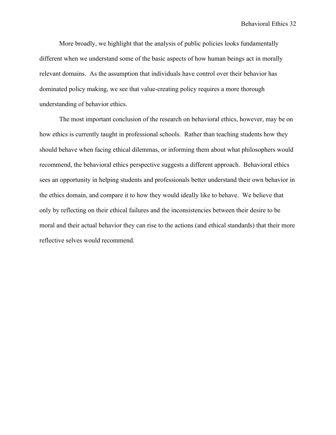More broadly, we highlight that the analysis of public policies looks fundamentally different when we understand some of the basic aspects of how human beings act in morally relevant domains. As the assumption that individuals have control over their behavior has dominated policy making, we see that value-creating policy requires a more thorough understanding of behavior ethics.

The most important conclusion of the research on behavioral ethics, however, may be on how ethics is currently taught in professional schools. Rather than teaching students how they should behave when facing ethical dilemmas, or informing them about what philosophers would recommend, the behavioral ethics perspective suggests a different approach. Behavioral ethics sees an opportunity in helping students and professionals better understand their own behavior in the ethics domain, and compare it to how they would ideally like to behave. We believe that only by reflecting on their ethical failures and the inconsistencies between their desire to be moral and their actual behavior they can rise to the actions (and ethical standards) that their more reflective selves would recommend.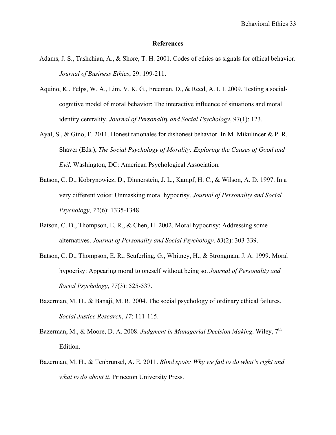### **References**

- Adams, J. S., Tashchian, A., & Shore, T. H. 2001. Codes of ethics as signals for ethical behavior. *Journal of Business Ethics*, 29: 199-211.
- Aquino, K., Felps, W. A., Lim, V. K. G., Freeman, D., & Reed, A. I. I. 2009. Testing a socialcognitive model of moral behavior: The interactive influence of situations and moral identity centrality. *Journal of Personality and Social Psychology*, 97(1): 123.
- Ayal, S., & Gino, F. 2011. Honest rationales for dishonest behavior. In M. Mikulincer & P. R. Shaver (Eds.), *The Social Psychology of Morality: Exploring the Causes of Good and Evil*. Washington, DC: American Psychological Association.
- Batson, C. D., Kobrynowicz, D., Dinnerstein, J. L., Kampf, H. C., & Wilson, A. D. 1997. In a very different voice: Unmasking moral hypocrisy. *Journal of Personality and Social Psychology*, *72*(6): 1335-1348.
- Batson, C. D., Thompson, E. R., & Chen, H. 2002. Moral hypocrisy: Addressing some alternatives. *Journal of Personality and Social Psychology*, *83*(2): 303-339.
- Batson, C. D., Thompson, E. R., Seuferling, G., Whitney, H., & Strongman, J. A. 1999. Moral hypocrisy: Appearing moral to oneself without being so. *Journal of Personality and Social Psychology*, *77*(3): 525-537.
- Bazerman, M. H., & Banaji, M. R. 2004. The social psychology of ordinary ethical failures. *Social Justice Research*, *17*: 111-115.
- Bazerman, M., & Moore, D. A. 2008. *Judgment in Managerial Decision Making*. Wiley, 7<sup>th</sup> Edition.
- Bazerman, M. H., & Tenbrunsel, A. E. 2011. *Blind spots: Why we fail to do what's right and what to do about it*. Princeton University Press.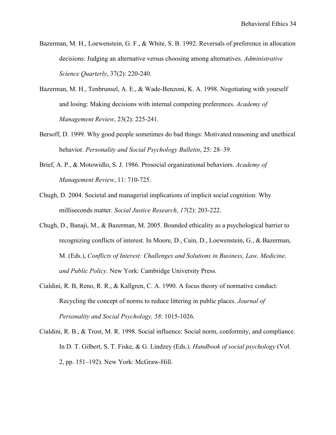- Bazerman, M. H., Loewenstein, G. F., & White, S. B. 1992. Reversals of preference in allocation decisions: Judging an alternative versus choosing among alternatives. *Administrative Science Quarterly*, 37(2): 220-240.
- Bazerman, M. H., Tenbrunsel, A. E., & Wade-Benzoni, K. A. 1998. Negotiating with yourself and losing: Making decisions with internal competing preferences. *Academy of Management Review*, 23(2): 225-241.
- Bersoff, D. 1999. Why good people sometimes do bad things: Motivated reasoning and unethical behavior. *Personality and Social Psychology Bulletin*, 25: 28–39.
- Brief, A. P., & Motowidlo, S. J. 1986. Prosocial organizational behaviors. *Academy of Management Review*, 11: 710-725.
- Chugh, D. 2004. Societal and managerial implications of implicit social cognition: Why milliseconds matter. *Social Justice Research*, *17*(2): 203-222.
- Chugh, D., Banaji, M., & Bazerman, M. 2005. Bounded ethicality as a psychological barrier to recognizing conflicts of interest. In Moore, D., Cain, D., Loewenstein, G., & Bazerman, M. (Eds.), *Conflicts of Interest: Challenges and Solutions in Business, Law, Medicine, and Public Policy*. New York: Cambridge University Press.
- Cialdini, R. B, Reno, R. R., & Kallgren, C. A. 1990. A focus theory of normative conduct: Recycling the concept of norms to reduce littering in public places. *Journal of Personality and Social Psychology, 58*: 1015-1026.
- Cialdini, R. B., & Trost, M. R. 1998. Social influence: Social norm, conformity, and compliance. In D. T. Gilbert, S. T. Fiske, & G. Lindzey (Eds.). *Handbook of social psychology* (Vol. 2, pp. 151–192). New York: McGraw-Hill.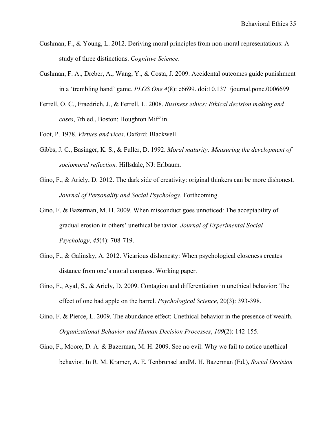- Cushman, F., & Young, L. 2012. Deriving moral principles from non-moral representations: A study of three distinctions. *Cognitive Science*.
- Cushman, F. A., Dreber, A., Wang, Y., & Costa, J. 2009. Accidental outcomes guide punishment in a 'trembling hand' game. *PLOS One 4*(8): e6699. doi:10.1371/journal.pone.0006699
- Ferrell, O. C., Fraedrich, J., & Ferrell, L. 2008. *Business ethics: Ethical decision making and cases*, 7th ed., Boston: Houghton Mifflin.
- Foot, P. 1978. *Virtues and vices*. Oxford: Blackwell.
- Gibbs, J. C., Basinger, K. S., & Fuller, D. 1992. *Moral maturity: Measuring the development of sociomoral reflection.* Hillsdale, NJ: Erlbaum.
- Gino, F., & Ariely, D. 2012. The dark side of creativity: original thinkers can be more dishonest. *Journal of Personality and Social Psychology*. Forthcoming.
- Gino, F. & Bazerman, M. H. 2009. When misconduct goes unnoticed: The acceptability of gradual erosion in others' unethical behavior. *Journal of Experimental Social Psychology*, *45*(4): 708-719.
- Gino, F., & Galinsky, A. 2012. Vicarious dishonesty: When psychological closeness creates distance from one's moral compass. Working paper.
- Gino, F., Ayal, S., & Ariely, D. 2009. Contagion and differentiation in unethical behavior: The effect of one bad apple on the barrel. *Psychological Science*, 20(3): 393-398.
- Gino, F. & Pierce, L. 2009. The abundance effect: Unethical behavior in the presence of wealth. *Organizational Behavior and Human Decision Processes*, *109*(2): 142-155.
- Gino, F., Moore, D. A. & Bazerman, M. H. 2009. See no evil: Why we fail to notice unethical behavior. In R. M. Kramer, A. E. Tenbrunsel andM. H. Bazerman (Ed.), *Social Decision*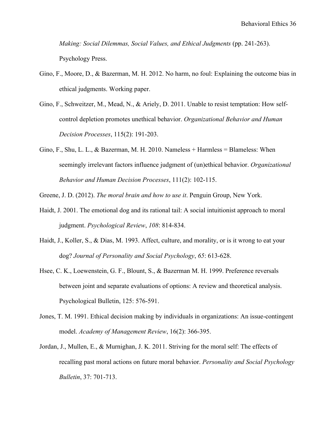*Making: Social Dilemmas, Social Values, and Ethical Judgments* (pp. 241-263). Psychology Press.

- Gino, F., Moore, D., & Bazerman, M. H. 2012. No harm, no foul: Explaining the outcome bias in ethical judgments. Working paper.
- Gino, F., Schweitzer, M., Mead, N., & Ariely, D. 2011. Unable to resist temptation: How selfcontrol depletion promotes unethical behavior. *Organizational Behavior and Human Decision Processes*, 115(2): 191-203.
- Gino, F., Shu, L. L., & Bazerman, M. H. 2010. Nameless + Harmless = Blameless: When seemingly irrelevant factors influence judgment of (un)ethical behavior. *Organizational Behavior and Human Decision Processes*, 111(2): 102-115.

Greene, J. D. (2012). *The moral brain and how to use it*. Penguin Group, New York.

- Haidt, J. 2001. The emotional dog and its rational tail: A social intuitionist approach to moral judgment. *Psychological Review*, *108*: 814-834.
- Haidt, J., Koller, S., & Dias, M. 1993. Affect, culture, and morality, or is it wrong to eat your dog? *Journal of Personality and Social Psychology*, *65*: 613-628.
- Hsee, C. K., Loewenstein, G. F., Blount, S., & Bazerman M. H. 1999. Preference reversals between joint and separate evaluations of options: A review and theoretical analysis. Psychological Bulletin, 125: 576-591.
- Jones, T. M. 1991. Ethical decision making by individuals in organizations: An issue-contingent model. *Academy of Management Review*, 16(2): 366-395.
- Jordan, J., Mullen, E., & Murnighan, J. K. 2011. Striving for the moral self: The effects of recalling past moral actions on future moral behavior. *Personality and Social Psychology Bulletin*, 37: 701-713.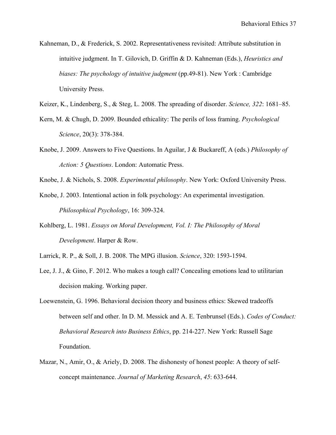- Kahneman, D., & Frederick, S. 2002. Representativeness revisited: Attribute substitution in intuitive judgment. In T. Gilovich, D. Griffin & D. Kahneman (Eds.), *Heuristics and biases: The psychology of intuitive judgment* (pp.49-81). New York : Cambridge University Press.
- Keizer, K., Lindenberg, S., & Steg, L. 2008. The spreading of disorder. *Science, 322*: 1681–85.
- Kern, M. & Chugh, D. 2009. Bounded ethicality: The perils of loss framing. *Psychological Science*, 20(3): 378-384.
- Knobe, J. 2009. Answers to Five Questions. In Aguilar, J & Buckareff, A (eds.) *Philosophy of Action: 5 Questions*. London: Automatic Press.
- Knobe, J. & Nichols, S. 2008. *Experimental philosophy*. New York: Oxford University Press.
- Knobe, J. 2003. Intentional action in folk psychology: An experimental investigation. *Philosophical Psychology*, 16: 309-324.
- Kohlberg, L. 1981. *Essays on Moral Development, Vol. I: The Philosophy of Moral Development*. Harper & Row.
- Larrick, R. P., & Soll, J. B. 2008. The MPG illusion. *Science*, 320: 1593-1594.
- Lee, J. J., & Gino, F. 2012. Who makes a tough call? Concealing emotions lead to utilitarian decision making. Working paper.
- Loewenstein, G. 1996. Behavioral decision theory and business ethics: Skewed tradeoffs between self and other. In D. M. Messick and A. E. Tenbrunsel (Eds.). *Codes of Conduct: Behavioral Research into Business Ethics*, pp. 214-227. New York: Russell Sage Foundation.
- Mazar, N., Amir, O., & Ariely, D. 2008. The dishonesty of honest people: A theory of selfconcept maintenance. *Journal of Marketing Research*, *45*: 633-644.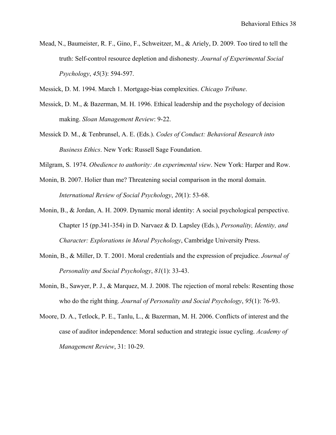Mead, N., Baumeister, R. F., Gino, F., Schweitzer, M., & Ariely, D. 2009. Too tired to tell the truth: Self-control resource depletion and dishonesty. *Journal of Experimental Social Psychology*, *45*(3): 594-597.

Messick, D. M. 1994. March 1. Mortgage-bias complexities. *Chicago Tribune*.

- Messick, D. M., & Bazerman, M. H. 1996. Ethical leadership and the psychology of decision making. *Sloan Management Review*: 9-22.
- Messick D. M., & Tenbrunsel, A. E. (Eds.). *Codes of Conduct: Behavioral Research into Business Ethics*. New York: Russell Sage Foundation.
- Milgram, S. 1974. *Obedience to authority: An experimental view*. New York: Harper and Row.
- Monin, B. 2007. Holier than me? Threatening social comparison in the moral domain. *International Review of Social Psychology*, *20*(1): 53-68.
- Monin, B., & Jordan, A. H. 2009. Dynamic moral identity: A social psychological perspective. Chapter 15 (pp.341-354) in D. Narvaez & D. Lapsley (Eds.), *Personality, Identity, and Character: Explorations in Moral Psychology*, Cambridge University Press.
- Monin, B., & Miller, D. T. 2001. Moral credentials and the expression of prejudice. *Journal of Personality and Social Psychology*, *81*(1): 33-43.
- Monin, B., Sawyer, P. J., & Marquez, M. J. 2008. The rejection of moral rebels: Resenting those who do the right thing. *Journal of Personality and Social Psychology*, *95*(1): 76-93.
- Moore, D. A., Tetlock, P. E., Tanlu, L., & Bazerman, M. H. 2006. Conflicts of interest and the case of auditor independence: Moral seduction and strategic issue cycling. *Academy of Management Review*, 31: 10-29.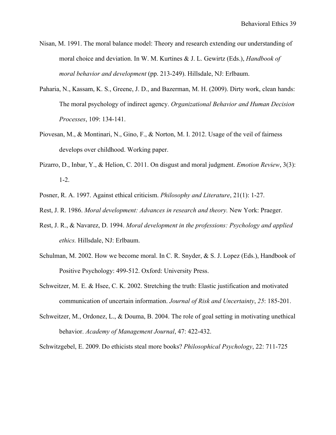- Nisan, M. 1991. The moral balance model: Theory and research extending our understanding of moral choice and deviation. In W. M. Kurtines & J. L. Gewirtz (Eds.), *Handbook of moral behavior and development* (pp. 213-249). Hillsdale, NJ: Erlbaum.
- Paharia, N., Kassam, K. S., Greene, J. D., and Bazerman, M. H. (2009). Dirty work, clean hands: The moral psychology of indirect agency. *Organizational Behavior and Human Decision Processes*, 109: 134-141.
- Piovesan, M., & Montinari, N., Gino, F., & Norton, M. I. 2012. Usage of the veil of fairness develops over childhood. Working paper.
- Pizarro, D., Inbar, Y., & Helion, C. 2011. On disgust and moral judgment. *Emotion Review*, 3(3): 1-2.
- Posner, R. A. 1997. Against ethical criticism. *Philosophy and Literature*, 21(1): 1-27.
- Rest, J. R. 1986. *Moral development: Advances in research and theory.* New York: Praeger.
- Rest, J. R., & Navarez, D. 1994. *Moral development in the professions: Psychology and applied ethics.* Hillsdale, NJ: Erlbaum.
- Schulman, M. 2002. How we become moral. In C. R. Snyder, & S. J. Lopez (Eds.), Handbook of Positive Psychology: 499-512. Oxford: University Press.
- Schweitzer, M. E. & Hsee, C. K. 2002. Stretching the truth: Elastic justification and motivated communication of uncertain information. *Journal of Risk and Uncertainty*, *25*: 185-201.
- Schweitzer, M., Ordonez, L., & Douma, B. 2004. The role of goal setting in motivating unethical behavior. *Academy of Management Journal*, 47: 422-432.

Schwitzgebel, E. 2009. Do ethicists steal more books? *Philosophical Psychology*, 22: 711-725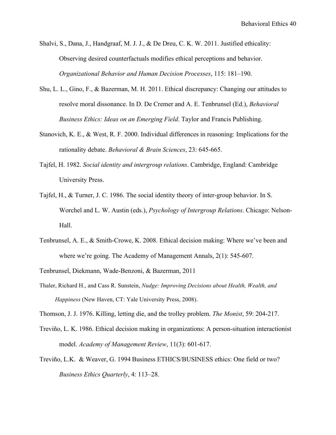- Shalvi, S., Dana, J., Handgraaf, M. J. J., & De Dreu, C. K. W. 2011. Justified ethicality: Observing desired counterfactuals modifies ethical perceptions and behavior. *Organizational Behavior and Human Decision Processes*, 115: 181–190.
- Shu, L. L., Gino, F., & Bazerman, M. H. 2011. Ethical discrepancy: Changing our attitudes to resolve moral dissonance. In D. De Cremer and A. E. Tenbrunsel (Ed.), *Behavioral Business Ethics: Ideas on an Emerging Field*. Taylor and Francis Publishing.
- Stanovich, K. E., & West, R. F. 2000. Individual differences in reasoning: Implications for the rationality debate. *Behavioral & Brain Sciences*, 23: 645-665.
- Tajfel, H. 1982. *Social identity and intergroup relations*. Cambridge, England: Cambridge University Press.
- Tajfel, H., & Turner, J. C. 1986. The social identity theory of inter-group behavior. In S. Worchel and L. W. Austin (eds.), *Psychology of Intergroup Relations*. Chicago: Nelson-Hall.
- Tenbrunsel, A. E., & Smith-Crowe, K. 2008. Ethical decision making: Where we've been and where we're going. The Academy of Management Annals, 2(1): 545-607.
- Tenbrunsel, Diekmann, Wade-Benzoni, & Bazerman, 2011
- Thaler, Richard H., and Cass R. Sunstein, *Nudge: Improving Decisions about Health, Wealth, and Happiness* (New Haven, CT: Yale University Press, 2008).
- Thomson, J. J. 1976. Killing, letting die, and the trolley problem. *The Monist*, 59: 204-217.
- Treviño, L. K. 1986. Ethical decision making in organizations: A person-situation interactionist model. *Academy of Management Review*, 11(3): 601-617.
- Treviño, L.K. & Weaver, G. 1994 Business ETHICS/BUSINESS ethics: One field or two? *Business Ethics Quarterly*, 4: 113–28.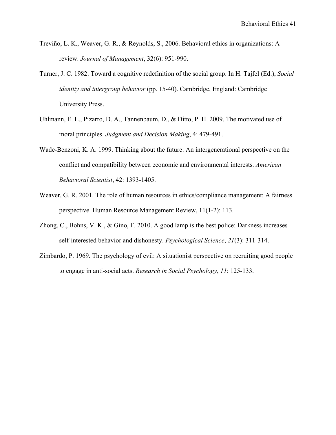- Treviño, L. K., Weaver, G. R., & Reynolds, S., 2006. Behavioral ethics in organizations: A review. *Journal of Management*, 32(6): 951-990.
- Turner, J. C. 1982. Toward a cognitive redefinition of the social group. In H. Tajfel (Ed.), *Social identity and intergroup behavior* (pp. 15-40). Cambridge, England: Cambridge University Press.
- Uhlmann, E. L., Pizarro, D. A., Tannenbaum, D., & Ditto, P. H. 2009. The motivated use of moral principles. *Judgment and Decision Making*, 4: 479-491.
- Wade-Benzoni, K. A. 1999. Thinking about the future: An intergenerational perspective on the conflict and compatibility between economic and environmental interests. *American Behavioral Scientist*, 42: 1393-1405.
- Weaver, G. R. 2001. The role of human resources in ethics/compliance management: A fairness perspective. Human Resource Management Review, 11(1-2): 113.
- Zhong, C., Bohns, V. K., & Gino, F. 2010. A good lamp is the best police: Darkness increases self-interested behavior and dishonesty. *Psychological Science*, *21*(3): 311-314.
- Zimbardo, P. 1969. The psychology of evil: A situationist perspective on recruiting good people to engage in anti-social acts. *Research in Social Psychology*, *11*: 125-133.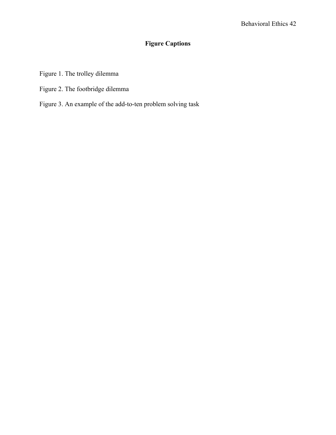# **Figure Captions**

- Figure 1. The trolley dilemma
- Figure 2. The footbridge dilemma
- Figure 3. An example of the add-to-ten problem solving task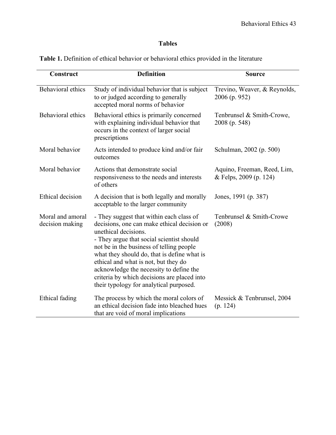# **Tables**

| Construct                           | <b>Definition</b>                                                                                                                                                                                                                                                                                                                                                                                                                    | <b>Source</b>                                         |
|-------------------------------------|--------------------------------------------------------------------------------------------------------------------------------------------------------------------------------------------------------------------------------------------------------------------------------------------------------------------------------------------------------------------------------------------------------------------------------------|-------------------------------------------------------|
| <b>Behavioral</b> ethics            | Study of individual behavior that is subject<br>to or judged according to generally<br>accepted moral norms of behavior                                                                                                                                                                                                                                                                                                              | Trevino, Weaver, & Reynolds,<br>2006 (p. 952)         |
| Behavioral ethics                   | Behavioral ethics is primarily concerned<br>with explaining individual behavior that<br>occurs in the context of larger social<br>prescriptions                                                                                                                                                                                                                                                                                      | Tenbrunsel & Smith-Crowe,<br>2008 (p. 548)            |
| Moral behavior                      | Acts intended to produce kind and/or fair<br>outcomes                                                                                                                                                                                                                                                                                                                                                                                | Schulman, 2002 (p. 500)                               |
| Moral behavior                      | Actions that demonstrate social<br>responsiveness to the needs and interests<br>of others                                                                                                                                                                                                                                                                                                                                            | Aquino, Freeman, Reed, Lim,<br>& Felps, 2009 (p. 124) |
| Ethical decision                    | A decision that is both legally and morally<br>acceptable to the larger community                                                                                                                                                                                                                                                                                                                                                    | Jones, 1991 (p. 387)                                  |
| Moral and amoral<br>decision making | - They suggest that within each class of<br>decisions, one can make ethical decision or<br>unethical decisions.<br>- They argue that social scientist should<br>not be in the business of telling people<br>what they should do, that is define what is<br>ethical and what is not, but they do<br>acknowledge the necessity to define the<br>criteria by which decisions are placed into<br>their typology for analytical purposed. | Tenbrunsel & Smith-Crowe<br>(2008)                    |
| Ethical fading                      | The process by which the moral colors of<br>an ethical decision fade into bleached hues<br>that are void of moral implications                                                                                                                                                                                                                                                                                                       | Messick & Tenbrunsel, 2004<br>(p. 124)                |

**Table 1.** Definition of ethical behavior or behavioral ethics provided in the literature